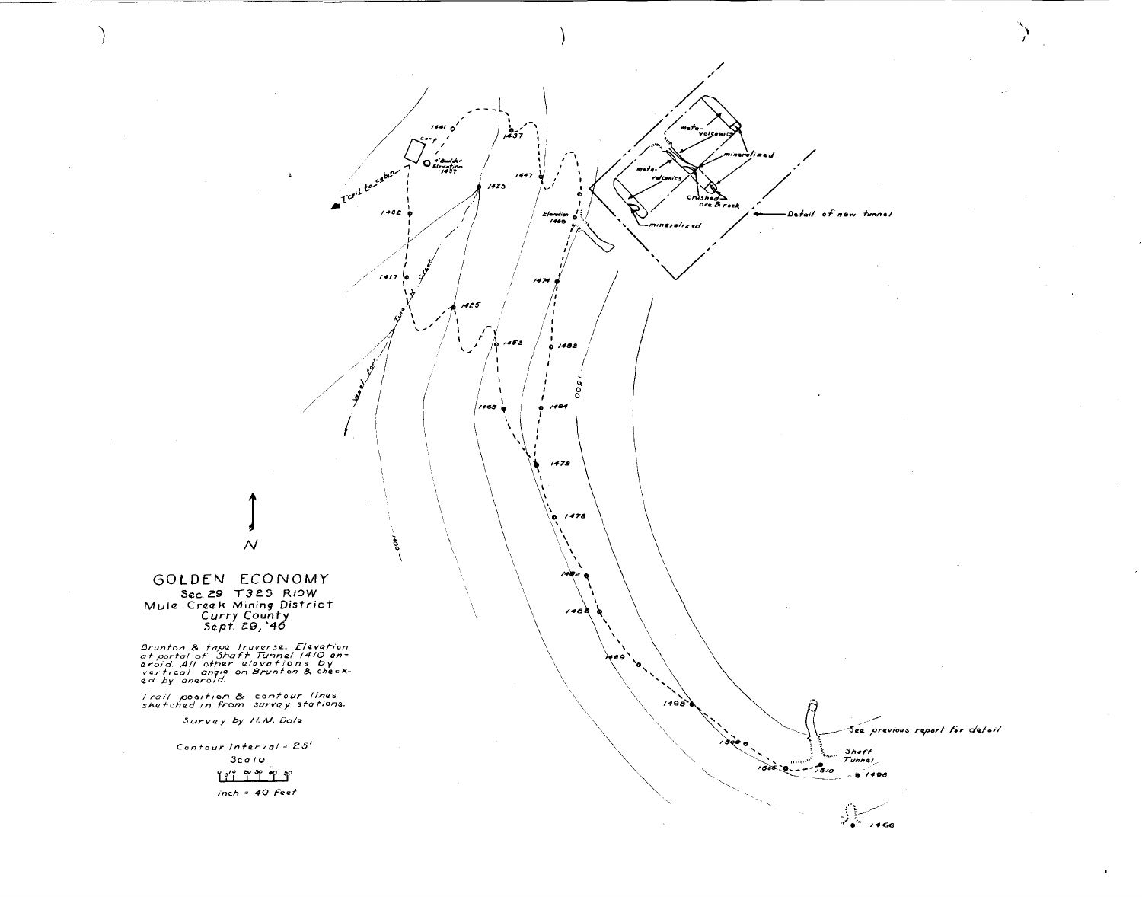

GOLDEN ECONOMY Sec 29 T325 RIOW Mule Creek Mining District<br>Curry County<br>Sept. 29, 46

Brunton & tape traverse. Elevation<br>at portal of Shaft Tunnel 1410 an-<br>eroid. All other elevations by<br>vertical angle on Brunton & check-<br>ed by aneroid.

Trail position & contour lines<br>shetched in from survey stations.

 $11111000$